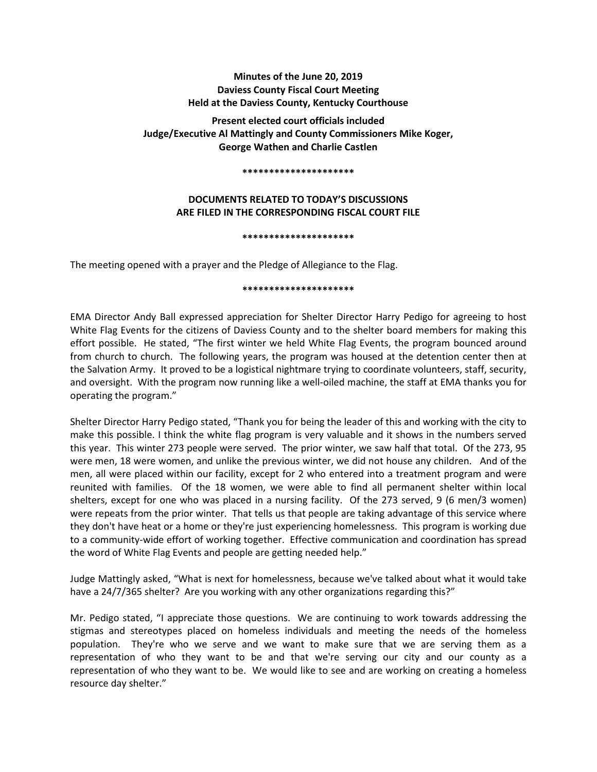# **Minutes of the June 20, 2019 Daviess County Fiscal Court Meeting Held at the Daviess County, Kentucky Courthouse**

**Present elected court officials included Judge/Executive Al Mattingly and County Commissioners Mike Koger, George Wathen and Charlie Castlen** 

#### **\*\*\*\*\*\*\*\*\*\*\*\*\*\*\*\*\*\*\*\*\***

# **DOCUMENTS RELATED TO TODAY'S DISCUSSIONS ARE FILED IN THE CORRESPONDING FISCAL COURT FILE**

#### **\*\*\*\*\*\*\*\*\*\*\*\*\*\*\*\*\*\*\*\*\***

The meeting opened with a prayer and the Pledge of Allegiance to the Flag.

### **\*\*\*\*\*\*\*\*\*\*\*\*\*\*\*\*\*\*\*\*\***

EMA Director Andy Ball expressed appreciation for Shelter Director Harry Pedigo for agreeing to host White Flag Events for the citizens of Daviess County and to the shelter board members for making this effort possible. He stated, "The first winter we held White Flag Events, the program bounced around from church to church. The following years, the program was housed at the detention center then at the Salvation Army. It proved to be a logistical nightmare trying to coordinate volunteers, staff, security, and oversight. With the program now running like a well-oiled machine, the staff at EMA thanks you for operating the program."

Shelter Director Harry Pedigo stated, "Thank you for being the leader of this and working with the city to make this possible. I think the white flag program is very valuable and it shows in the numbers served this year. This winter 273 people were served. The prior winter, we saw half that total. Of the 273, 95 were men, 18 were women, and unlike the previous winter, we did not house any children. And of the men, all were placed within our facility, except for 2 who entered into a treatment program and were reunited with families. Of the 18 women, we were able to find all permanent shelter within local shelters, except for one who was placed in a nursing facility. Of the 273 served, 9 (6 men/3 women) were repeats from the prior winter. That tells us that people are taking advantage of this service where they don't have heat or a home or they're just experiencing homelessness. This program is working due to a community-wide effort of working together. Effective communication and coordination has spread the word of White Flag Events and people are getting needed help."

Judge Mattingly asked, "What is next for homelessness, because we've talked about what it would take have a 24/7/365 shelter? Are you working with any other organizations regarding this?"

Mr. Pedigo stated, "I appreciate those questions. We are continuing to work towards addressing the stigmas and stereotypes placed on homeless individuals and meeting the needs of the homeless population. They're who we serve and we want to make sure that we are serving them as a representation of who they want to be and that we're serving our city and our county as a representation of who they want to be. We would like to see and are working on creating a homeless resource day shelter."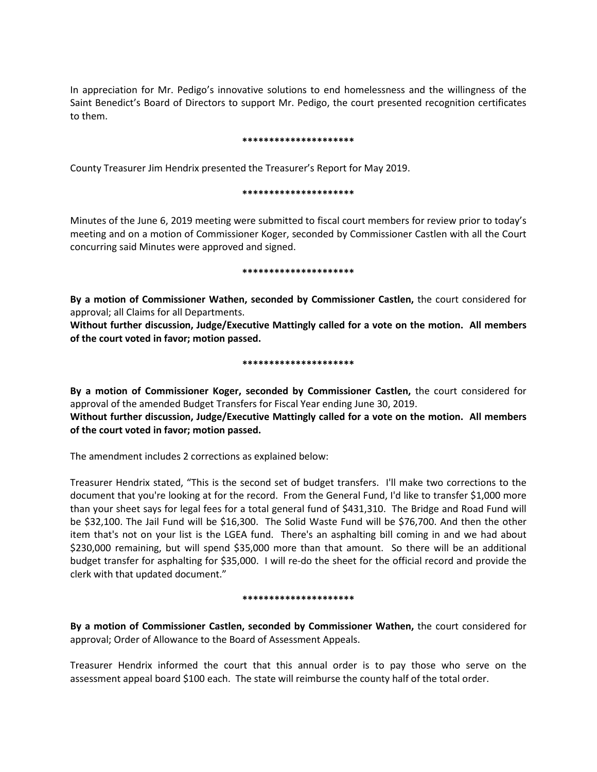In appreciation for Mr. Pedigo's innovative solutions to end homelessness and the willingness of the Saint Benedict's Board of Directors to support Mr. Pedigo, the court presented recognition certificates to them.

### **\*\*\*\*\*\*\*\*\*\*\*\*\*\*\*\*\*\*\*\*\***

County Treasurer Jim Hendrix presented the Treasurer's Report for May 2019.

### **\*\*\*\*\*\*\*\*\*\*\*\*\*\*\*\*\*\*\*\*\***

Minutes of the June 6, 2019 meeting were submitted to fiscal court members for review prior to today's meeting and on a motion of Commissioner Koger, seconded by Commissioner Castlen with all the Court concurring said Minutes were approved and signed.

### **\*\*\*\*\*\*\*\*\*\*\*\*\*\*\*\*\*\*\*\*\***

**By a motion of Commissioner Wathen, seconded by Commissioner Castlen,** the court considered for approval; all Claims for all Departments.

**Without further discussion, Judge/Executive Mattingly called for a vote on the motion. All members of the court voted in favor; motion passed.** 

## **\*\*\*\*\*\*\*\*\*\*\*\*\*\*\*\*\*\*\*\*\***

**By a motion of Commissioner Koger, seconded by Commissioner Castlen,** the court considered for approval of the amended Budget Transfers for Fiscal Year ending June 30, 2019. **Without further discussion, Judge/Executive Mattingly called for a vote on the motion. All members of the court voted in favor; motion passed.** 

The amendment includes 2 corrections as explained below:

Treasurer Hendrix stated, "This is the second set of budget transfers. I'll make two corrections to the document that you're looking at for the record. From the General Fund, I'd like to transfer \$1,000 more than your sheet says for legal fees for a total general fund of \$431,310. The Bridge and Road Fund will be \$32,100. The Jail Fund will be \$16,300. The Solid Waste Fund will be \$76,700. And then the other item that's not on your list is the LGEA fund. There's an asphalting bill coming in and we had about \$230,000 remaining, but will spend \$35,000 more than that amount. So there will be an additional budget transfer for asphalting for \$35,000. I will re-do the sheet for the official record and provide the clerk with that updated document."

## **\*\*\*\*\*\*\*\*\*\*\*\*\*\*\*\*\*\*\*\*\***

**By a motion of Commissioner Castlen, seconded by Commissioner Wathen,** the court considered for approval; Order of Allowance to the Board of Assessment Appeals.

Treasurer Hendrix informed the court that this annual order is to pay those who serve on the assessment appeal board \$100 each. The state will reimburse the county half of the total order.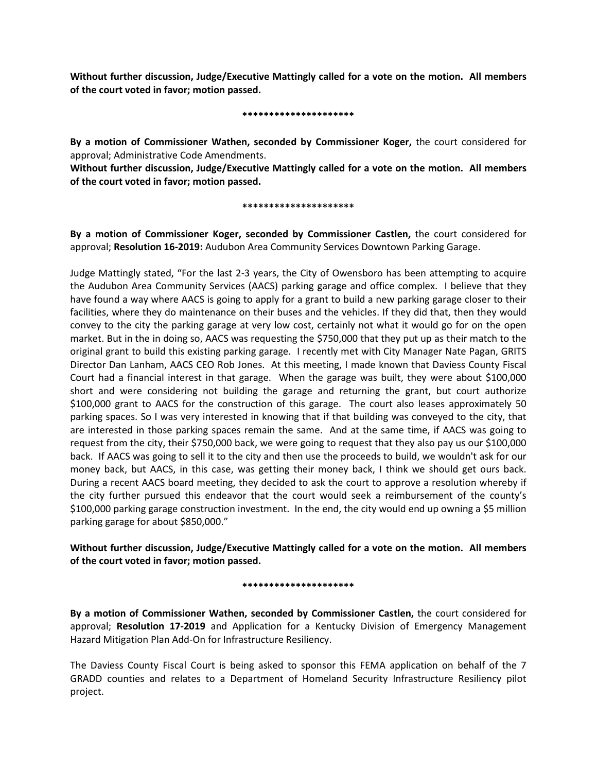**Without further discussion, Judge/Executive Mattingly called for a vote on the motion. All members of the court voted in favor; motion passed.** 

### **\*\*\*\*\*\*\*\*\*\*\*\*\*\*\*\*\*\*\*\*\***

**By a motion of Commissioner Wathen, seconded by Commissioner Koger,** the court considered for approval; Administrative Code Amendments.

**Without further discussion, Judge/Executive Mattingly called for a vote on the motion. All members of the court voted in favor; motion passed.** 

## **\*\*\*\*\*\*\*\*\*\*\*\*\*\*\*\*\*\*\*\*\***

**By a motion of Commissioner Koger, seconded by Commissioner Castlen,** the court considered for approval; **Resolution 16-2019:** Audubon Area Community Services Downtown Parking Garage.

Judge Mattingly stated, "For the last 2-3 years, the City of Owensboro has been attempting to acquire the Audubon Area Community Services (AACS) parking garage and office complex. I believe that they have found a way where AACS is going to apply for a grant to build a new parking garage closer to their facilities, where they do maintenance on their buses and the vehicles. If they did that, then they would convey to the city the parking garage at very low cost, certainly not what it would go for on the open market. But in the in doing so, AACS was requesting the \$750,000 that they put up as their match to the original grant to build this existing parking garage. I recently met with City Manager Nate Pagan, GRITS Director Dan Lanham, AACS CEO Rob Jones. At this meeting, I made known that Daviess County Fiscal Court had a financial interest in that garage. When the garage was built, they were about \$100,000 short and were considering not building the garage and returning the grant, but court authorize \$100,000 grant to AACS for the construction of this garage. The court also leases approximately 50 parking spaces. So I was very interested in knowing that if that building was conveyed to the city, that are interested in those parking spaces remain the same. And at the same time, if AACS was going to request from the city, their \$750,000 back, we were going to request that they also pay us our \$100,000 back. If AACS was going to sell it to the city and then use the proceeds to build, we wouldn't ask for our money back, but AACS, in this case, was getting their money back, I think we should get ours back. During a recent AACS board meeting, they decided to ask the court to approve a resolution whereby if the city further pursued this endeavor that the court would seek a reimbursement of the county's \$100,000 parking garage construction investment. In the end, the city would end up owning a \$5 million parking garage for about \$850,000."

**Without further discussion, Judge/Executive Mattingly called for a vote on the motion. All members of the court voted in favor; motion passed.** 

### **\*\*\*\*\*\*\*\*\*\*\*\*\*\*\*\*\*\*\*\*\***

**By a motion of Commissioner Wathen, seconded by Commissioner Castlen,** the court considered for approval; **Resolution 17-2019** and Application for a Kentucky Division of Emergency Management Hazard Mitigation Plan Add-On for Infrastructure Resiliency.

The Daviess County Fiscal Court is being asked to sponsor this FEMA application on behalf of the 7 GRADD counties and relates to a Department of Homeland Security Infrastructure Resiliency pilot project.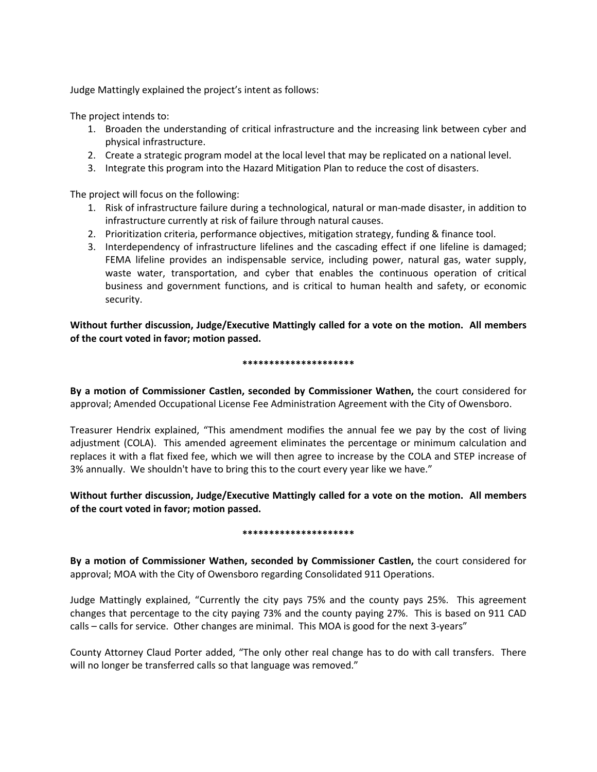Judge Mattingly explained the project's intent as follows:

The project intends to:

- 1. Broaden the understanding of critical infrastructure and the increasing link between cyber and physical infrastructure.
- 2. Create a strategic program model at the local level that may be replicated on a national level.
- 3. Integrate this program into the Hazard Mitigation Plan to reduce the cost of disasters.

The project will focus on the following:

- 1. Risk of infrastructure failure during a technological, natural or man-made disaster, in addition to infrastructure currently at risk of failure through natural causes.
- 2. Prioritization criteria, performance objectives, mitigation strategy, funding & finance tool.
- 3. Interdependency of infrastructure lifelines and the cascading effect if one lifeline is damaged; FEMA lifeline provides an indispensable service, including power, natural gas, water supply, waste water, transportation, and cyber that enables the continuous operation of critical business and government functions, and is critical to human health and safety, or economic security.

**Without further discussion, Judge/Executive Mattingly called for a vote on the motion. All members of the court voted in favor; motion passed.** 

## **\*\*\*\*\*\*\*\*\*\*\*\*\*\*\*\*\*\*\*\*\***

**By a motion of Commissioner Castlen, seconded by Commissioner Wathen,** the court considered for approval; Amended Occupational License Fee Administration Agreement with the City of Owensboro.

Treasurer Hendrix explained, "This amendment modifies the annual fee we pay by the cost of living adjustment (COLA). This amended agreement eliminates the percentage or minimum calculation and replaces it with a flat fixed fee, which we will then agree to increase by the COLA and STEP increase of 3% annually. We shouldn't have to bring this to the court every year like we have."

# **Without further discussion, Judge/Executive Mattingly called for a vote on the motion. All members of the court voted in favor; motion passed.**

### **\*\*\*\*\*\*\*\*\*\*\*\*\*\*\*\*\*\*\*\*\***

**By a motion of Commissioner Wathen, seconded by Commissioner Castlen,** the court considered for approval; MOA with the City of Owensboro regarding Consolidated 911 Operations.

Judge Mattingly explained, "Currently the city pays 75% and the county pays 25%. This agreement changes that percentage to the city paying 73% and the county paying 27%. This is based on 911 CAD calls – calls for service. Other changes are minimal. This MOA is good for the next 3-years"

County Attorney Claud Porter added, "The only other real change has to do with call transfers. There will no longer be transferred calls so that language was removed."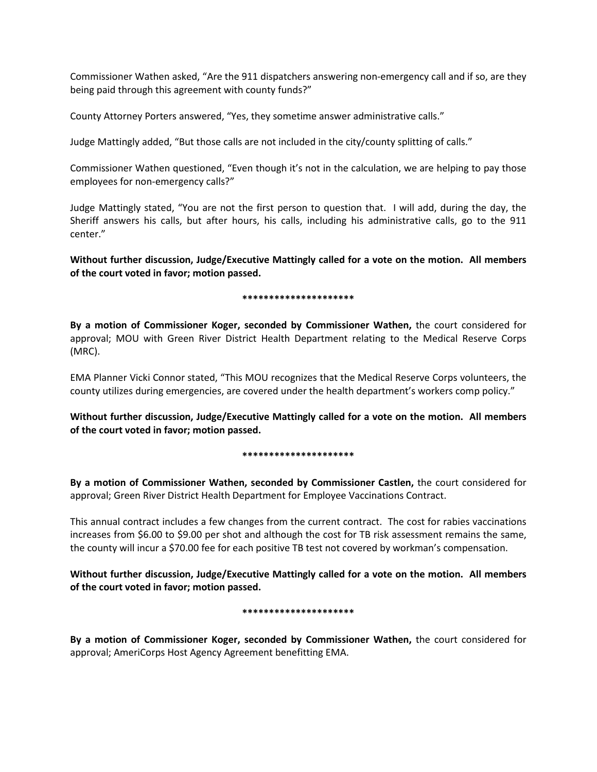Commissioner Wathen asked, "Are the 911 dispatchers answering non-emergency call and if so, are they being paid through this agreement with county funds?"

County Attorney Porters answered, "Yes, they sometime answer administrative calls."

Judge Mattingly added, "But those calls are not included in the city/county splitting of calls."

Commissioner Wathen questioned, "Even though it's not in the calculation, we are helping to pay those employees for non-emergency calls?"

Judge Mattingly stated, "You are not the first person to question that. I will add, during the day, the Sheriff answers his calls, but after hours, his calls, including his administrative calls, go to the 911 center."

**Without further discussion, Judge/Executive Mattingly called for a vote on the motion. All members of the court voted in favor; motion passed.** 

## **\*\*\*\*\*\*\*\*\*\*\*\*\*\*\*\*\*\*\*\*\***

**By a motion of Commissioner Koger, seconded by Commissioner Wathen,** the court considered for approval; MOU with Green River District Health Department relating to the Medical Reserve Corps (MRC).

EMA Planner Vicki Connor stated, "This MOU recognizes that the Medical Reserve Corps volunteers, the county utilizes during emergencies, are covered under the health department's workers comp policy."

**Without further discussion, Judge/Executive Mattingly called for a vote on the motion. All members of the court voted in favor; motion passed.** 

## **\*\*\*\*\*\*\*\*\*\*\*\*\*\*\*\*\*\*\*\*\***

**By a motion of Commissioner Wathen, seconded by Commissioner Castlen,** the court considered for approval; Green River District Health Department for Employee Vaccinations Contract.

This annual contract includes a few changes from the current contract. The cost for rabies vaccinations increases from \$6.00 to \$9.00 per shot and although the cost for TB risk assessment remains the same, the county will incur a \$70.00 fee for each positive TB test not covered by workman's compensation.

**Without further discussion, Judge/Executive Mattingly called for a vote on the motion. All members of the court voted in favor; motion passed.** 

### **\*\*\*\*\*\*\*\*\*\*\*\*\*\*\*\*\*\*\*\*\***

**By a motion of Commissioner Koger, seconded by Commissioner Wathen,** the court considered for approval; AmeriCorps Host Agency Agreement benefitting EMA.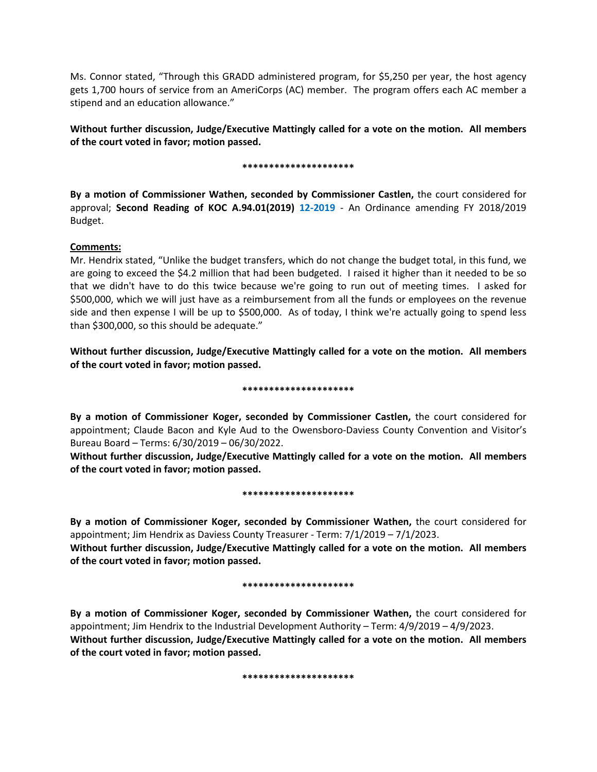Ms. Connor stated, "Through this GRADD administered program, for \$5,250 per year, the host agency gets 1,700 hours of service from an AmeriCorps (AC) member. The program offers each AC member a stipend and an education allowance."

**Without further discussion, Judge/Executive Mattingly called for a vote on the motion. All members of the court voted in favor; motion passed.** 

## **\*\*\*\*\*\*\*\*\*\*\*\*\*\*\*\*\*\*\*\*\***

**By a motion of Commissioner Wathen, seconded by Commissioner Castlen,** the court considered for approval; **Second Reading of KOC A.94.01(2019) 12-2019** - An Ordinance amending FY 2018/2019 Budget.

# **Comments:**

Mr. Hendrix stated, "Unlike the budget transfers, which do not change the budget total, in this fund, we are going to exceed the \$4.2 million that had been budgeted. I raised it higher than it needed to be so that we didn't have to do this twice because we're going to run out of meeting times. I asked for \$500,000, which we will just have as a reimbursement from all the funds or employees on the revenue side and then expense I will be up to \$500,000. As of today, I think we're actually going to spend less than \$300,000, so this should be adequate."

# **Without further discussion, Judge/Executive Mattingly called for a vote on the motion. All members of the court voted in favor; motion passed.**

### **\*\*\*\*\*\*\*\*\*\*\*\*\*\*\*\*\*\*\*\*\***

**By a motion of Commissioner Koger, seconded by Commissioner Castlen,** the court considered for appointment; Claude Bacon and Kyle Aud to the Owensboro-Daviess County Convention and Visitor's Bureau Board – Terms: 6/30/2019 – 06/30/2022.

**Without further discussion, Judge/Executive Mattingly called for a vote on the motion. All members of the court voted in favor; motion passed.** 

### **\*\*\*\*\*\*\*\*\*\*\*\*\*\*\*\*\*\*\*\*\***

**By a motion of Commissioner Koger, seconded by Commissioner Wathen,** the court considered for appointment; Jim Hendrix as Daviess County Treasurer - Term: 7/1/2019 – 7/1/2023.

**Without further discussion, Judge/Executive Mattingly called for a vote on the motion. All members of the court voted in favor; motion passed.** 

### **\*\*\*\*\*\*\*\*\*\*\*\*\*\*\*\*\*\*\*\*\***

**By a motion of Commissioner Koger, seconded by Commissioner Wathen,** the court considered for appointment; Jim Hendrix to the Industrial Development Authority – Term: 4/9/2019 – 4/9/2023. **Without further discussion, Judge/Executive Mattingly called for a vote on the motion. All members of the court voted in favor; motion passed.** 

**\*\*\*\*\*\*\*\*\*\*\*\*\*\*\*\*\*\*\*\*\***